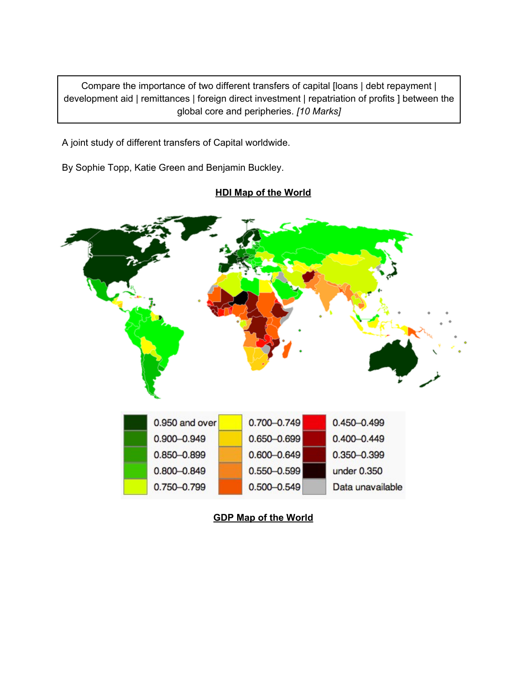Compare the importance of two different transfers of capital [loans | debt repayment | development aid | remittances | foreign direct investment | repatriation of profits ] between the global core and peripheries. *[10 Marks]*

A joint study of different transfers of Capital worldwide.

By Sophie Topp, Katie Green and Benjamin Buckley.



### **HDI Map of the World**

**GDP Map of the World**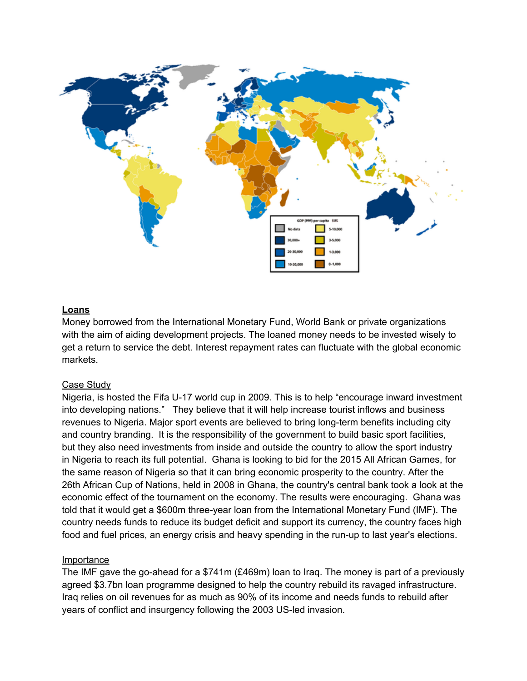

#### **Loans**

Money borrowed from the International Monetary Fund, World Bank or private organizations with the aim of aiding development projects. The loaned money needs to be invested wisely to get a return to service the debt. Interest repayment rates can fluctuate with the global economic markets.

### Case Study

Nigeria, is hosted the Fifa U-17 world cup in 2009. This is to help "encourage inward investment into developing nations." They believe that it will help increase tourist inflows and business revenues to Nigeria. Major sport events are believed to bring long-term benefits including city and country branding. It is the responsibility of the government to build basic sport facilities, but they also need investments from inside and outside the country to allow the sport industry in Nigeria to reach its full potential. Ghana is looking to bid for the 2015 All African Games, for the same reason of Nigeria so that it can bring economic prosperity to the country. After the 26th African Cup of Nations, held in 2008 in Ghana, the country's central bank took a look at the economic effect of the tournament on the economy. The results were encouraging. Ghana was told that it would get a \$600m three-year loan from the International Monetary Fund (IMF). The country needs funds to reduce its budget deficit and support its currency, the country faces high food and fuel prices, an energy crisis and heavy spending in the run-up to last year's elections.

#### Importance

The IMF gave the go-ahead for a \$741m (£469m) loan to Iraq. The money is part of a previously agreed \$3.7bn loan programme designed to help the country rebuild its ravaged infrastructure. Iraq relies on oil revenues for as much as 90% of its income and needs funds to rebuild after years of conflict and insurgency following the 2003 US-led invasion.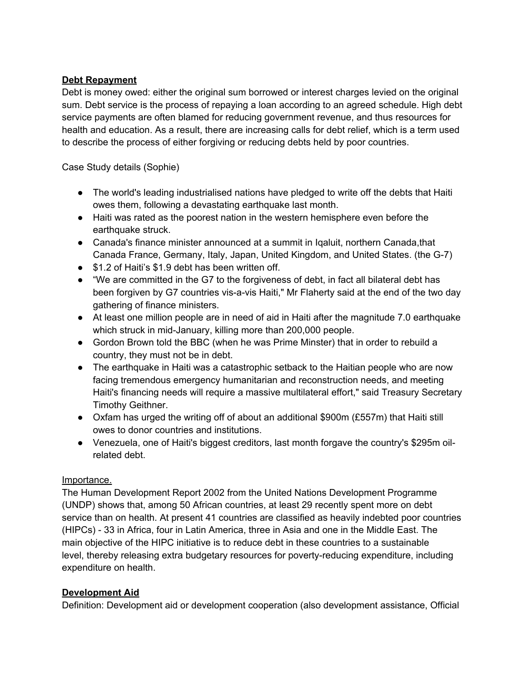## **Debt Repayment**

Debt is money owed: either the original sum borrowed or interest charges levied on the original sum. Debt service is the process of repaying a loan according to an agreed schedule. High debt service payments are often blamed for reducing government revenue, and thus resources for health and education. As a result, there are increasing calls for debt relief, which is a term used to describe the process of either forgiving or reducing debts held by poor countries.

Case Study details (Sophie)

- The world's leading industrialised nations have pledged to write off the debts that Haiti owes them, following a devastating earthquake last month.
- Haiti was rated as the poorest nation in the western hemisphere even before the earthquake struck.
- Canada's finance minister announced at a summit in Iqaluit, northern Canada,that Canada France, Germany, Italy, Japan, United Kingdom, and United States. (the G-7)
- \$1.2 of Haiti's \$1.9 debt has been written off.
- "We are committed in the G7 to the forgiveness of debt, in fact all bilateral debt has been forgiven by G7 countries vis-a-vis Haiti," Mr Flaherty said at the end of the two day gathering of finance ministers.
- At least one million people are in need of aid in Haiti after the magnitude 7.0 earthquake which struck in mid-January, killing more than 200,000 people.
- Gordon Brown told the BBC (when he was Prime Minster) that in order to rebuild a country, they must not be in debt.
- The earthquake in Haiti was a catastrophic setback to the Haitian people who are now facing tremendous emergency humanitarian and reconstruction needs, and meeting Haiti's financing needs will require a massive multilateral effort," said Treasury Secretary Timothy Geithner.
- Oxfam has urged the writing off of about an additional \$900m (£557m) that Haiti still owes to donor countries and institutions.
- Venezuela, one of Haiti's biggest creditors, last month forgave the country's \$295m oilrelated debt.

### Importance.

The Human Development Report 2002 from the United Nations Development Programme (UNDP) shows that, among 50 African countries, at least 29 recently spent more on debt service than on health. At present 41 countries are classified as heavily indebted poor countries (HIPCs) - 33 in Africa, four in Latin America, three in Asia and one in the Middle East. The main objective of the HIPC initiative is to reduce debt in these countries to a sustainable level, thereby releasing extra budgetary resources for poverty-reducing expenditure, including expenditure on health.

### **Development Aid**

Definition: Development aid or development cooperation (also development assistance, Official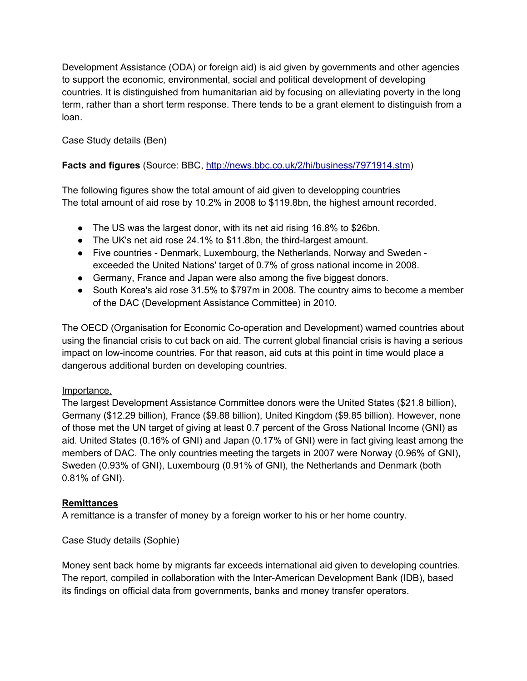Development Assistance (ODA) or foreign aid) is aid given by governments and other agencies to support the economic, environmental, social and political development of developing countries. It is distinguished from humanitarian aid by focusing on alleviating poverty in the long term, rather than a short term response. There tends to be a grant element to distinguish from a loan.

Case Study details (Ben)

## **Facts and figures** (Source: BBC, [http:](http://www.google.com/url?q=http%3A%2F%2Fnews.bbc.co.uk%2F2%2Fhi%2Fbusiness%2F7971914.stm&sa=D&sntz=1&usg=AFQjCNGDxbogCVnqOI2b5KluEvHh4IiJnQ)//n[ew](http://www.google.com/url?q=http%3A%2F%2Fnews.bbc.co.uk%2F2%2Fhi%2Fbusiness%2F7971914.stm&sa=D&sntz=1&usg=AFQjCNGDxbogCVnqOI2b5KluEvHh4IiJnQ)s[.bbc.c](http://www.google.com/url?q=http%3A%2F%2Fnews.bbc.co.uk%2F2%2Fhi%2Fbusiness%2F7971914.stm&sa=D&sntz=1&usg=AFQjCNGDxbogCVnqOI2b5KluEvHh4IiJnQ)o.uk/[2/hi/b](http://www.google.com/url?q=http%3A%2F%2Fnews.bbc.co.uk%2F2%2Fhi%2Fbusiness%2F7971914.stm&sa=D&sntz=1&usg=AFQjCNGDxbogCVnqOI2b5KluEvHh4IiJnQ)usi[ness](http://www.google.com/url?q=http%3A%2F%2Fnews.bbc.co.uk%2F2%2Fhi%2Fbusiness%2F7971914.stm&sa=D&sntz=1&usg=AFQjCNGDxbogCVnqOI2b5KluEvHh4IiJnQ)/[7971](http://www.google.com/url?q=http%3A%2F%2Fnews.bbc.co.uk%2F2%2Fhi%2Fbusiness%2F7971914.stm&sa=D&sntz=1&usg=AFQjCNGDxbogCVnqOI2b5KluEvHh4IiJnQ)9[14.](http://www.google.com/url?q=http%3A%2F%2Fnews.bbc.co.uk%2F2%2Fhi%2Fbusiness%2F7971914.stm&sa=D&sntz=1&usg=AFQjCNGDxbogCVnqOI2b5KluEvHh4IiJnQ)st[m\)](http://www.google.com/url?q=http%3A%2F%2Fnews.bbc.co.uk%2F2%2Fhi%2Fbusiness%2F7971914.stm&sa=D&sntz=1&usg=AFQjCNGDxbogCVnqOI2b5KluEvHh4IiJnQ)

The following figures show the total amount of aid given to developping countries The total amount of aid rose by 10.2% in 2008 to \$119.8bn, the highest amount recorded.

- The US was the largest donor, with its net aid rising 16.8% to \$26bn.
- The UK's net aid rose 24.1% to \$11.8bn, the third-largest amount.
- Five countries Denmark, Luxembourg, the Netherlands, Norway and Sweden exceeded the United Nations' target of 0.7% of gross national income in 2008.
- Germany, France and Japan were also among the five biggest donors.
- South Korea's aid rose 31.5% to \$797m in 2008. The country aims to become a member of the DAC (Development Assistance Committee) in 2010.

The OECD (Organisation for Economic Co-operation and Development) warned countries about using the financial crisis to cut back on aid. The current global financial crisis is having a serious impact on low-income countries. For that reason, aid cuts at this point in time would place a dangerous additional burden on developing countries.

### Importance.

The largest Development Assistance Committee donors were the United States (\$21.8 billion), Germany (\$12.29 billion), France (\$9.88 billion), United Kingdom (\$9.85 billion). However, none of those met the UN target of giving at least 0.7 percent of the Gross National Income (GNI) as aid. United States (0.16% of GNI) and Japan (0.17% of GNI) were in fact giving least among the members of DAC. The only countries meeting the targets in 2007 were Norway (0.96% of GNI), Sweden (0.93% of GNI), Luxembourg (0.91% of GNI), the Netherlands and Denmark (both 0.81% of GNI).

### **Remittances**

A remittance is a transfer of money by a foreign worker to his or her home country.

Case Study details (Sophie)

Money sent back home by migrants far exceeds international aid given to developing countries. The report, compiled in collaboration with the Inter-American Development Bank (IDB), based its findings on official data from governments, banks and money transfer operators.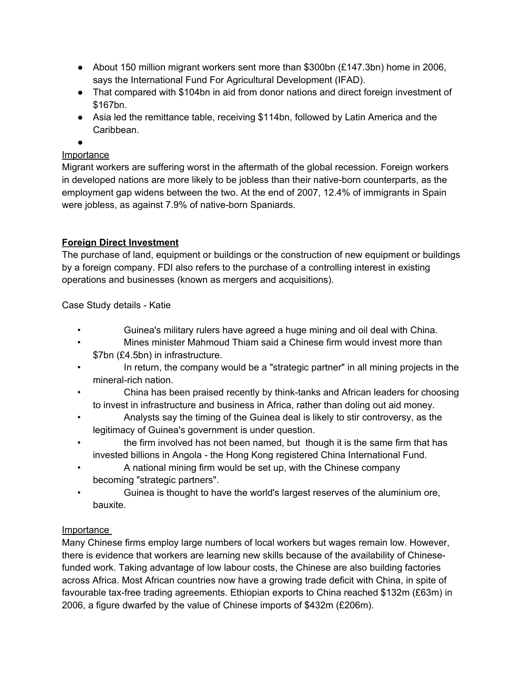- About 150 million migrant workers sent more than \$300bn (£147.3bn) home in 2006, says the International Fund For Agricultural Development (IFAD).
- That compared with \$104bn in aid from donor nations and direct foreign investment of \$167bn.
- Asia led the remittance table, receiving \$114bn, followed by Latin America and the **Caribbean**

●

# Importance

Migrant workers are suffering worst in the aftermath of the global recession. Foreign workers in developed nations are more likely to be jobless than their native-born counterparts, as the employment gap widens between the two. At the end of 2007, 12.4% of immigrants in Spain were jobless, as against 7.9% of native-born Spaniards.

# **Foreign Direct Investment**

The purchase of land, equipment or buildings or the construction of new equipment or buildings by a foreign company. FDI also refers to the purchase of a controlling interest in existing operations and businesses (known as mergers and acquisitions).

Case Study details - Katie

- Guinea's military rulers have agreed a huge mining and oil deal with China.
- Mines minister Mahmoud Thiam said a Chinese firm would invest more than \$7bn (£4.5bn) in infrastructure.
- In return, the company would be a "strategic partner" in all mining projects in the mineral-rich nation.
- China has been praised recently by think-tanks and African leaders for choosing to invest in infrastructure and business in Africa, rather than doling out aid money.
- Analysts say the timing of the Guinea deal is likely to stir controversy, as the legitimacy of Guinea's government is under question.
- the firm involved has not been named, but though it is the same firm that has invested billions in Angola - the Hong Kong registered China International Fund.
- A national mining firm would be set up, with the Chinese company becoming "strategic partners".
- Guinea is thought to have the world's largest reserves of the aluminium ore, bauxite.

### Importance

Many Chinese firms employ large numbers of local workers but wages remain low. However, there is evidence that workers are learning new skills because of the availability of Chinesefunded work. Taking advantage of low labour costs, the Chinese are also building factories across Africa. Most African countries now have a growing trade deficit with China, in spite of favourable tax-free trading agreements. Ethiopian exports to China reached \$132m (£63m) in 2006, a figure dwarfed by the value of Chinese imports of \$432m (£206m).